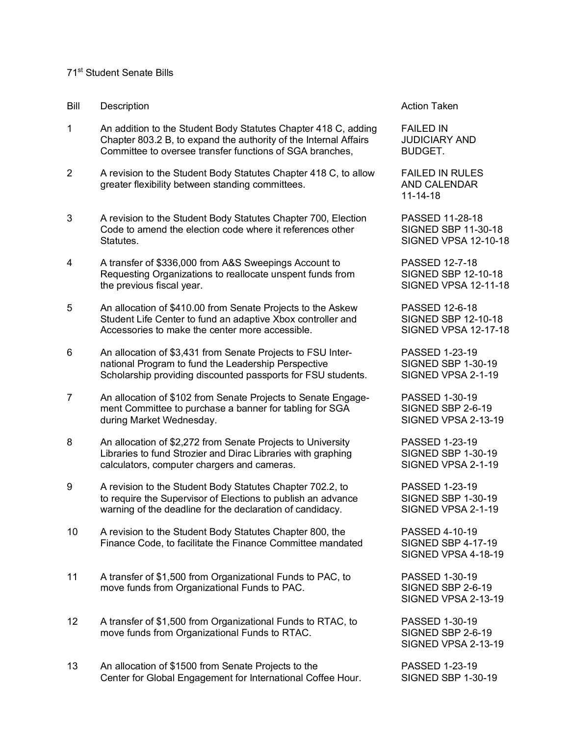## 71st Student Senate Bills

- Bill Description **Action Taken** Bill Description
- 1 An addition to the Student Body Statutes Chapter 418 C, adding FAILED IN Chapter 803.2 B, to expand the authority of the Internal Affairs JUDICIARY AND Committee to oversee transfer functions of SGA branches, BUDGET.
- 2 A revision to the Student Body Statutes Chapter 418 C, to allow FAILED IN RULES greater flexibility between standing committees. AND CALENDAR
- 3 A revision to the Student Body Statutes Chapter 700, Election PASSED 11-28-18<br>Code to amend the election code where it references other SIGNED SBP 11-30-18 Code to amend the election code where it references other Statutes. SIGNED VPSA 12-10-18
- 4 A transfer of \$336,000 from A&S Sweepings Account to PASSED 12-7-18 Requesting Organizations to reallocate unspent funds from SIGNED SBP 12-10-18 the previous fiscal year. The state of the state of the SIGNED VPSA 12-11-18
- 5 An allocation of \$410.00 from Senate Projects to the Askew PASSED 12-6-18 Student Life Center to fund an adaptive Xbox controller and SIGNED SBP 12-10-18 Accessories to make the center more accessible. SIGNED VPSA 12-17-18
- 6 An allocation of \$3,431 from Senate Projects to FSU Inter- PASSED 1-23-19 national Program to fund the Leadership Perspective SIGNED SBP 1-30-19 Scholarship providing discounted passports for FSU students. SIGNED VPSA 2-1-19
- 7 An allocation of \$102 from Senate Projects to Senate Engage- PASSED 1-30-19 ment Committee to purchase a banner for tabling for SGA SIGNED SBP 2-6-19 during Market Wednesday. The Subset of the Subset of Subset Signe DVPSA 2-13-19
- 8 An allocation of \$2,272 from Senate Projects to University PASSED 1-23-19 Libraries to fund Strozier and Dirac Libraries with graphing SIGNED SBP 1-30-19 calculators, computer chargers and cameras. SIGNED VPSA 2-1-19
- 9 A revision to the Student Body Statutes Chapter 702.2, to PASSED 1-23-19 to require the Supervisor of Elections to publish an advance SIGNED SBP 1-30-19 warning of the deadline for the declaration of candidacy. SIGNED VPSA 2-1-19
- 10 A revision to the Student Body Statutes Chapter 800, the PASSED 4-10-19 Finance Code, to facilitate the Finance Committee mandated SIGNED SBP 4-17-19
- 11 A transfer of \$1,500 from Organizational Funds to PAC, to PASSED 1-30-19 move funds from Organizational Funds to PAC. SIGNED SBP 2-6-19
- 12 A transfer of \$1,500 from Organizational Funds to RTAC, to PASSED 1-30-19 move funds from Organizational Funds to RTAC. SIGNED SBP 2-6-19
- 13 An allocation of \$1500 from Senate Projects to the PASSED 1-23-19 Center for Global Engagement for International Coffee Hour. SIGNED SBP 1-30-19

11-14-18

SIGNED VPSA 4-18-19

SIGNED VPSA 2-13-19

SIGNED VPSA 2-13-19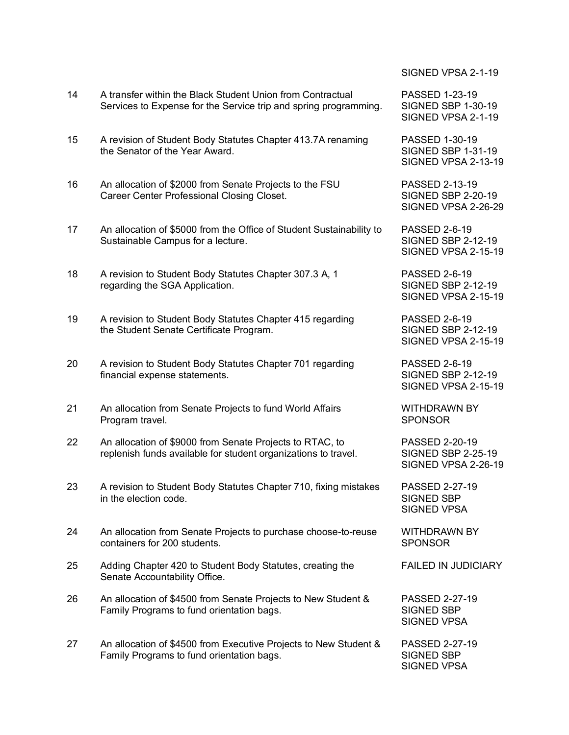| 14 | A transfer within the Black Student Union from Contractual<br>Services to Expense for the Service trip and spring programming. |
|----|--------------------------------------------------------------------------------------------------------------------------------|
| 15 | A revision of Student Body Statutes Chapter 413.7A renaming<br>the Senator of the Year Award.                                  |
| 16 | An allocation of \$2000 from Senate Projects to the FSU<br>Career Center Professional Closing Closet.                          |
| 17 | An allocation of \$5000 from the Office of Student Sustainability to<br>Sustainable Campus for a lecture.                      |
| 18 | A revision to Student Body Statutes Chapter 307.3 A, 1<br>regarding the SGA Application.                                       |
| 19 | A revision to Student Body Statutes Chapter 415 regarding<br>the Student Senate Certificate Program.                           |
| 20 | A revision to Student Body Statutes Chapter 701 regarding<br>financial expense statements.                                     |
| 21 | An allocation from Senate Projects to fund World Affairs<br>Program travel.                                                    |
| 22 | An allocation of \$9000 from Senate Projects to RTAC, to<br>replenish funds available for student organizations to travel.     |
| 23 | A revision to Student Body Statutes Chapter 710, fixing mistakes<br>in the election code.                                      |
| 24 | An allocation from Senate Projects to purchase choose-to-reuse<br>containers for 200 students.                                 |
| 25 | Adding Chapter 420 to Student Body Statutes, creating the<br>Senate Accountability Office.                                     |
| 26 | An allocation of \$4500 from Senate Projects to New Student &<br>Family Programs to fund orientation bags.                     |
| 27 | An allocation of \$4500 from Executive Projects to New Student &<br>Family Programs to fund orientation bags.                  |

SIGNED VPSA 2-1-19

PASSED 1-23-19 SIGNED SBP 1-30-19 SIGNED VPSA 2-1-19

**PASSED 1-30-19.** SIGNED SBP 1-31-19 SIGNED VPSA 2-13-19

PASSED 2-13-19 SIGNED SBP 2-20-19 SIGNED VPSA 2-26-29

PASSED 2-6-19 SIGNED SBP 2-12-19 SIGNED VPSA 2-15-19

**PASSED 2-6-19** SIGNED SBP 2-12-19 SIGNED VPSA 2-15-19

**PASSED 2-6-19** SIGNED SBP 2-12-19 SIGNED VPSA 2-15-19

PASSED 2-6-19 SIGNED SBP 2-12-19 SIGNED VPSA 2-15-19

WITHDRAWN BY SPONSOR

PASSED 2-20-19 SIGNED SBP 2-25-19 SIGNED VPSA 2-26-19

**PASSED 2-27-19** SIGNED SBP SIGNED VPSA

WITHDRAWN BY SPONSOR

**FAILED IN JUDICIARY** 

PASSED 2-27-19 SIGNED SBP SIGNED VPSA

PASSED 2-27-19 SIGNED SBP SIGNED VPSA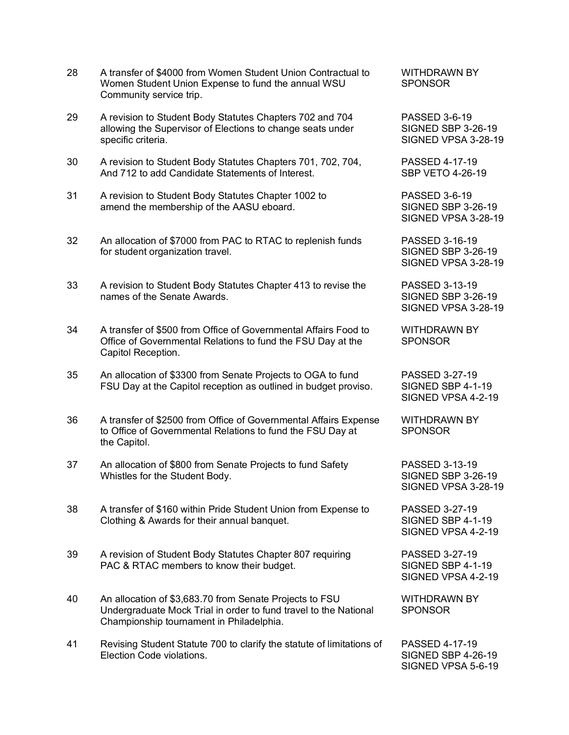- 28 A transfer of \$4000 from Women Student Union Contractual to WITHDRAWN BY Women Student Union Expense to fund the annual WSU SPONSOR Community service trip.
- 29 A revision to Student Body Statutes Chapters 702 and 704 PASSED 3-6-19 allowing the Supervisor of Elections to change seats under SIGNED SBP 3-26-19 specific criteria. SIGNED VPSA 3-28-19
- 30 A revision to Student Body Statutes Chapters 701, 702, 704, PASSED 4-17-19 And 712 to add Candidate Statements of Interest. SBP VETO 4-26-19
- 31 A revision to Student Body Statutes Chapter 1002 to PASSED 3-6-19 amend the membership of the AASU eboard. SIGNED SBP 3-26-19
- 32 An allocation of \$7000 from PAC to RTAC to replenish funds PASSED 3-16-19 for student organization travel. The student organization travel. SIGNED SBP 3-26-19
- 33 A revision to Student Body Statutes Chapter 413 to revise the PASSED 3-13-19 names of the Senate Awards. The State of the State Superintendent SIGNED SBP 3-26-19
- 34 A transfer of \$500 from Office of Governmental Affairs Food to WITHDRAWN BY Office of Governmental Relations to fund the FSU Day at the SPONSOR Capitol Reception.
- 35 An allocation of \$3300 from Senate Projects to OGA to fund PASSED 3-27-19 FSU Day at the Capitol reception as outlined in budget proviso. SIGNED SBP 4-1-19
- 36 A transfer of \$2500 from Office of Governmental Affairs Expense WITHDRAWN BY to Office of Governmental Relations to fund the FSU Day at SPONSOR the Capitol.
- 37 An allocation of \$800 from Senate Projects to fund Safety PASSED 3-13-19 Whistles for the Student Body. The Student SIGNED SBP 3-26-19
- 38 A transfer of \$160 within Pride Student Union from Expense to PASSED 3-27-19 Clothing & Awards for their annual banquet. SIGNED SBP 4-1-19
- 39 A revision of Student Body Statutes Chapter 807 requiring PASSED 3-27-19 PAC & RTAC members to know their budget. SIGNED SBP 4-1-19
- 40 An allocation of \$3,683.70 from Senate Projects to FSU WITHDRAWN BY Undergraduate Mock Trial in order to fund travel to the National SPONSOR Championship tournament in Philadelphia.
- 41 Revising Student Statute 700 to clarify the statute of limitations of PASSED 4-17-19 Election Code violations. The state of the state of the SIGNED SBP 4-26-19

SIGNED VPSA 3-28-19

SIGNED VPSA 3-28-19

SIGNED VPSA 3-28-19

SIGNED VPSA 4-2-19

SIGNED VPSA 3-28-19

SIGNED VPSA 4-2-19

SIGNED VPSA 4-2-19

SIGNED VPSA 5-6-19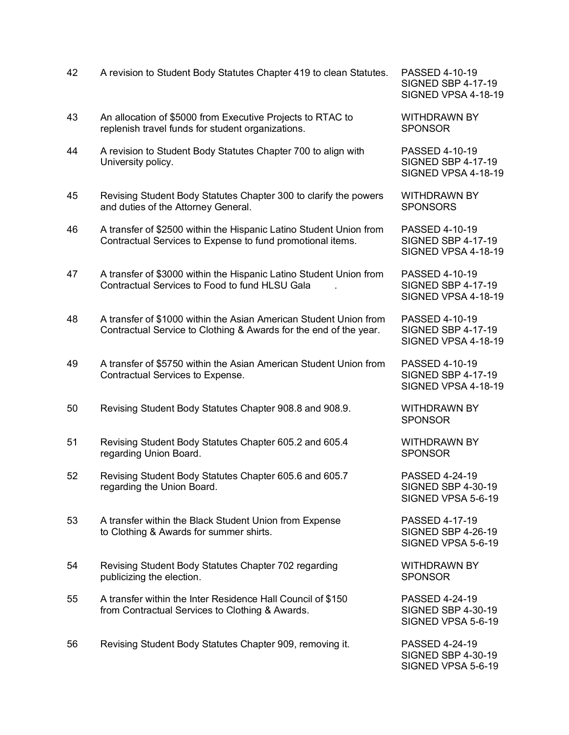| 42 | A revision to Student Body Statutes Chapter 419 to clean Statutes.                                                                     | PASSED 4-10-19<br><b>SIGNED SBP 4-17-19</b><br>SIGNED VPSA 4-18-1 |
|----|----------------------------------------------------------------------------------------------------------------------------------------|-------------------------------------------------------------------|
| 43 | An allocation of \$5000 from Executive Projects to RTAC to<br>replenish travel funds for student organizations.                        | <b>WITHDRAWN BY</b><br><b>SPONSOR</b>                             |
| 44 | A revision to Student Body Statutes Chapter 700 to align with<br>University policy.                                                    | PASSED 4-10-19<br><b>SIGNED SBP 4-17-19</b><br>SIGNED VPSA 4-18-1 |
| 45 | Revising Student Body Statutes Chapter 300 to clarify the powers<br>and duties of the Attorney General.                                | <b>WITHDRAWN BY</b><br><b>SPONSORS</b>                            |
| 46 | A transfer of \$2500 within the Hispanic Latino Student Union from<br>Contractual Services to Expense to fund promotional items.       | PASSED 4-10-19<br><b>SIGNED SBP 4-17-19</b><br>SIGNED VPSA 4-18-1 |
| 47 | A transfer of \$3000 within the Hispanic Latino Student Union from<br>Contractual Services to Food to fund HLSU Gala                   | PASSED 4-10-19<br><b>SIGNED SBP 4-17-19</b><br>SIGNED VPSA 4-18-1 |
| 48 | A transfer of \$1000 within the Asian American Student Union from<br>Contractual Service to Clothing & Awards for the end of the year. | PASSED 4-10-19<br><b>SIGNED SBP 4-17-19</b><br>SIGNED VPSA 4-18-1 |
| 49 | A transfer of \$5750 within the Asian American Student Union from<br>Contractual Services to Expense.                                  | PASSED 4-10-19<br><b>SIGNED SBP 4-17-19</b><br>SIGNED VPSA 4-18-1 |
| 50 | Revising Student Body Statutes Chapter 908.8 and 908.9.                                                                                | <b>WITHDRAWN BY</b><br><b>SPONSOR</b>                             |
| 51 | Revising Student Body Statutes Chapter 605.2 and 605.4<br>regarding Union Board.                                                       | <b>WITHDRAWN BY</b><br><b>SPONSOR</b>                             |
| 52 | Revising Student Body Statutes Chapter 605.6 and 605.7<br>regarding the Union Board.                                                   | PASSED 4-24-19<br><b>SIGNED SBP 4-30-19</b><br>SIGNED VPSA 5-6-19 |
| 53 | A transfer within the Black Student Union from Expense<br>to Clothing & Awards for summer shirts.                                      | PASSED 4-17-19<br><b>SIGNED SBP 4-26-19</b><br>SIGNED VPSA 5-6-19 |
| 54 | Revising Student Body Statutes Chapter 702 regarding<br>publicizing the election.                                                      | <b>WITHDRAWN BY</b><br><b>SPONSOR</b>                             |
| 55 | A transfer within the Inter Residence Hall Council of \$150<br>from Contractual Services to Clothing & Awards.                         | PASSED 4-24-19<br><b>SIGNED SBP 4-30-19</b><br>SIGNED VPSA 5-6-19 |
| 56 | Revising Student Body Statutes Chapter 909, removing it.                                                                               | PASSED 4-24-19<br><b>SIGNED SBP 4-30-19</b>                       |

 $P$  4-17-19 SA 4-18-19

SA 4-18-19

SA 4-18-19

P 4-17-19 SA 4-18-19

SA 4-18-19

SA 4-18-19

P 4-30-19 SIGNED VPSA 5-6-19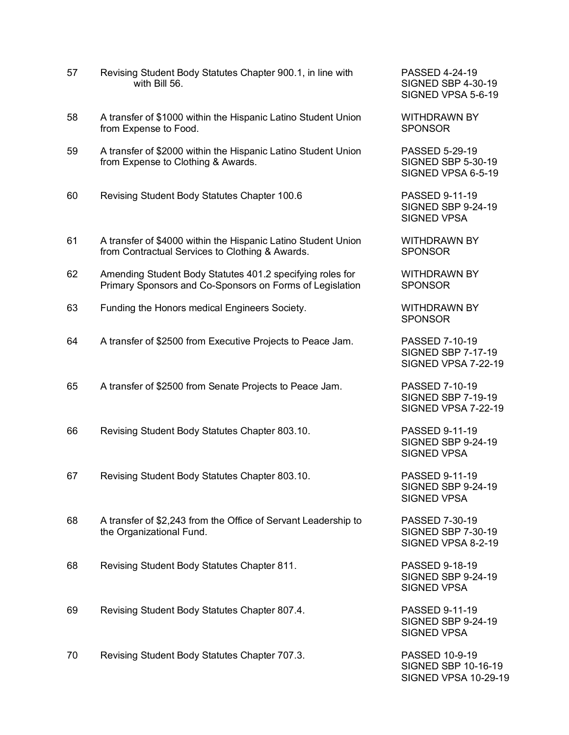| 57 | Revising Student Body Statutes Chapter 900.1, in line with<br>with Bill 56.                                           |
|----|-----------------------------------------------------------------------------------------------------------------------|
| 58 | A transfer of \$1000 within the Hispanic Latino Student Union<br>from Expense to Food.                                |
| 59 | A transfer of \$2000 within the Hispanic Latino Student Union<br>from Expense to Clothing & Awards.                   |
| 60 | Revising Student Body Statutes Chapter 100.6                                                                          |
| 61 | A transfer of \$4000 within the Hispanic Latino Student Union<br>from Contractual Services to Clothing & Awards.      |
| 62 | Amending Student Body Statutes 401.2 specifying roles for<br>Primary Sponsors and Co-Sponsors on Forms of Legislation |
| 63 | Funding the Honors medical Engineers Society.                                                                         |
| 64 | A transfer of \$2500 from Executive Projects to Peace Jam.                                                            |
| 65 | A transfer of \$2500 from Senate Projects to Peace Jam.                                                               |
| 66 | Revising Student Body Statutes Chapter 803.10.                                                                        |
| 67 | Revising Student Body Statutes Chapter 803.10.                                                                        |
| 68 | A transfer of \$2,243 from the Office of Servant Leadership to<br>the Organizational Fund.                            |
| 68 | Revising Student Body Statutes Chapter 811.                                                                           |
| 69 | Revising Student Body Statutes Chapter 807.4.                                                                         |
| 70 | Revising Student Body Statutes Chapter 707.3.                                                                         |

PASSED 4-24-19 SIGNED SBP 4-30-19 SIGNED VPSA 5-6-19

WITHDRAWN BY SPONSOR

PASSED 5-29-19 SIGNED SBP 5-30-19 SIGNED VPSA 6-5-19

**PASSED 9-11-19.** SIGNED SBP 9-24-19 SIGNED VPSA

WITHDRAWN BY SPONSOR

**WITHDRAWN BY** SPONSOR

WITHDRAWN BY **SPONSOR** 

64 PASSED 7-10-19 SIGNED SBP 7-17-19 SIGNED VPSA 7-22-19

PASSED 7-10-19 SIGNED SBP 7-19-19 SIGNED VPSA 7-22-19

**PASSED 9-11-19.** SIGNED SBP 9-24-19 SIGNED VPSA

PASSED 9-11-19 SIGNED SBP 9-24-19 SIGNED VPSA

PASSED 7-30-19 SIGNED SBP 7-30-19 SIGNED VPSA 8-2-19

**PASSED 9-18-19** SIGNED SBP 9-24-19 SIGNED VPSA

**PASSED 9-11-19.** SIGNED SBP 9-24-19 SIGNED VPSA

PASSED 10-9-19 SIGNED SBP 10-16-19 SIGNED VPSA 10-29-19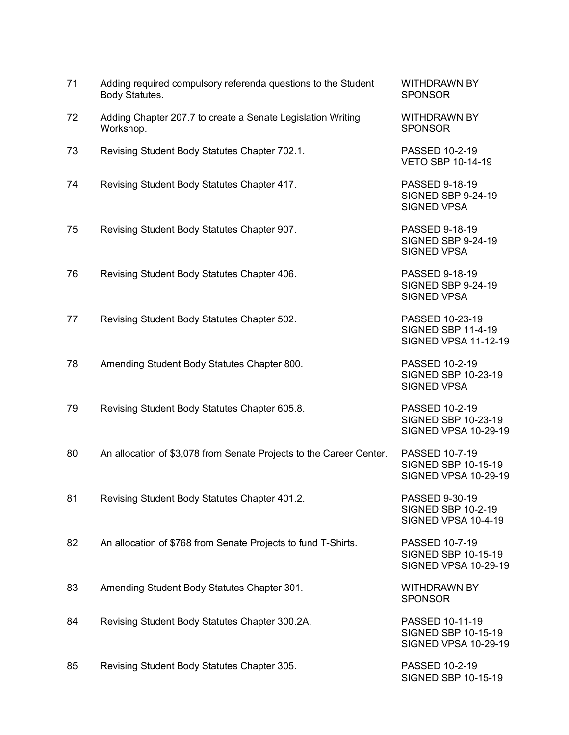| 71 | Adding required compulsory referenda questions to the Student<br>Body Statutes. | <b>WITHDRAWN BY</b><br><b>SPONSOR</b>                                       |
|----|---------------------------------------------------------------------------------|-----------------------------------------------------------------------------|
| 72 | Adding Chapter 207.7 to create a Senate Legislation Writing<br>Workshop.        | <b>WITHDRAWN BY</b><br><b>SPONSOR</b>                                       |
| 73 | Revising Student Body Statutes Chapter 702.1.                                   | PASSED 10-2-19<br><b>VETO SBP 10-14-19</b>                                  |
| 74 | Revising Student Body Statutes Chapter 417.                                     | PASSED 9-18-19<br><b>SIGNED SBP 9-24-19</b><br><b>SIGNED VPSA</b>           |
| 75 | Revising Student Body Statutes Chapter 907.                                     | PASSED 9-18-19<br><b>SIGNED SBP 9-24-19</b><br><b>SIGNED VPSA</b>           |
| 76 | Revising Student Body Statutes Chapter 406.                                     | PASSED 9-18-19<br><b>SIGNED SBP 9-24-19</b><br><b>SIGNED VPSA</b>           |
| 77 | Revising Student Body Statutes Chapter 502.                                     | PASSED 10-23-19<br><b>SIGNED SBP 11-4-19</b><br><b>SIGNED VPSA 11-12-19</b> |
| 78 | Amending Student Body Statutes Chapter 800.                                     | PASSED 10-2-19<br>SIGNED SBP 10-23-19<br><b>SIGNED VPSA</b>                 |
| 79 | Revising Student Body Statutes Chapter 605.8.                                   | PASSED 10-2-19<br>SIGNED SBP 10-23-19<br><b>SIGNED VPSA 10-29-19</b>        |
| 80 | An allocation of \$3,078 from Senate Projects to the Career Center.             | PASSED 10-7-19<br>SIGNED SBP 10-15-19<br><b>SIGNED VPSA 10-29-19</b>        |
| 81 | Revising Student Body Statutes Chapter 401.2.                                   | PASSED 9-30-19<br><b>SIGNED SBP 10-2-19</b><br>SIGNED VPSA 10-4-19          |
| 82 | An allocation of \$768 from Senate Projects to fund T-Shirts.                   | PASSED 10-7-19<br>SIGNED SBP 10-15-19<br><b>SIGNED VPSA 10-29-19</b>        |
| 83 | Amending Student Body Statutes Chapter 301.                                     | <b>WITHDRAWN BY</b><br><b>SPONSOR</b>                                       |
| 84 | Revising Student Body Statutes Chapter 300.2A.                                  | PASSED 10-11-19<br>SIGNED SBP 10-15-19<br><b>SIGNED VPSA 10-29-19</b>       |
| 85 | Revising Student Body Statutes Chapter 305.                                     | PASSED 10-2-19                                                              |

SIGNED SBP 10-15-19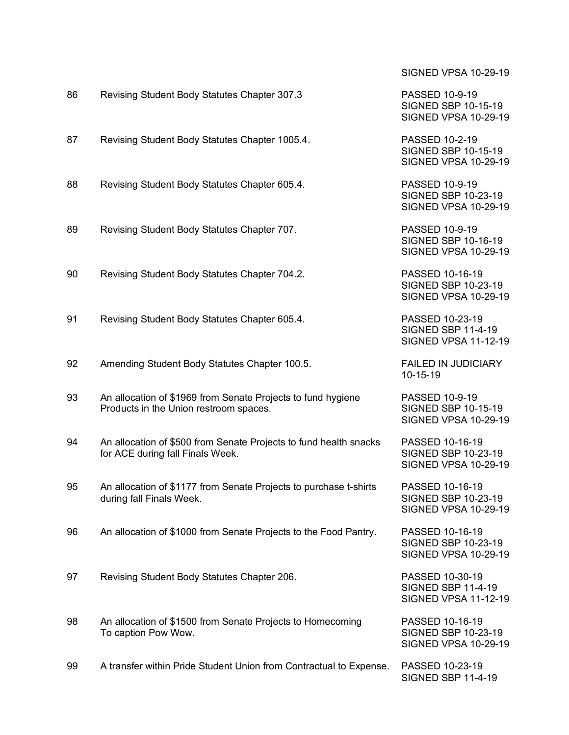| 86 | Revising Student Body Statutes Chapter 307.3                                                           | PASSED 10-9-19<br>SIGNED SBP 10-15-19<br><b>SIGNED VPSA 10-29-19</b>        |
|----|--------------------------------------------------------------------------------------------------------|-----------------------------------------------------------------------------|
| 87 | Revising Student Body Statutes Chapter 1005.4.                                                         | PASSED 10-2-19<br>SIGNED SBP 10-15-19<br><b>SIGNED VPSA 10-29-19</b>        |
| 88 | Revising Student Body Statutes Chapter 605.4.                                                          | PASSED 10-9-19<br>SIGNED SBP 10-23-19<br><b>SIGNED VPSA 10-29-19</b>        |
| 89 | Revising Student Body Statutes Chapter 707.                                                            | PASSED 10-9-19<br>SIGNED SBP 10-16-19<br><b>SIGNED VPSA 10-29-19</b>        |
| 90 | Revising Student Body Statutes Chapter 704.2.                                                          | PASSED 10-16-19<br>SIGNED SBP 10-23-19<br><b>SIGNED VPSA 10-29-19</b>       |
| 91 | Revising Student Body Statutes Chapter 605.4.                                                          | PASSED 10-23-19<br><b>SIGNED SBP 11-4-19</b><br><b>SIGNED VPSA 11-12-19</b> |
| 92 | Amending Student Body Statutes Chapter 100.5.                                                          | <b>FAILED IN JUDICIARY</b><br>10-15-19                                      |
| 93 | An allocation of \$1969 from Senate Projects to fund hygiene<br>Products in the Union restroom spaces. | PASSED 10-9-19<br>SIGNED SBP 10-15-19<br><b>SIGNED VPSA 10-29-19</b>        |
| 94 | An allocation of \$500 from Senate Projects to fund health snacks<br>for ACE during fall Finals Week.  | PASSED 10-16-19<br>SIGNED SBP 10-23-19<br><b>SIGNED VPSA 10-29-19</b>       |
| 95 | An allocation of \$1177 from Senate Projects to purchase t-shirts<br>during fall Finals Week.          | PASSED 10-16-19<br>SIGNED SBP 10-23-19<br><b>SIGNED VPSA 10-29-19</b>       |
| 96 | An allocation of \$1000 from Senate Projects to the Food Pantry.                                       | PASSED 10-16-19<br>SIGNED SBP 10-23-19<br><b>SIGNED VPSA 10-29-19</b>       |
| 97 | Revising Student Body Statutes Chapter 206.                                                            | PASSED 10-30-19<br><b>SIGNED SBP 11-4-19</b><br><b>SIGNED VPSA 11-12-19</b> |
| 98 | An allocation of \$1500 from Senate Projects to Homecoming<br>To caption Pow Wow.                      | PASSED 10-16-19<br>SIGNED SBP 10-23-19<br><b>SIGNED VPSA 10-29-19</b>       |
| 99 | A transfer within Pride Student Union from Contractual to Expense.                                     | PASSED 10-23-19<br><b>SIGNED SBP 11-4-19</b>                                |

SIGNED VPSA 10-29-19